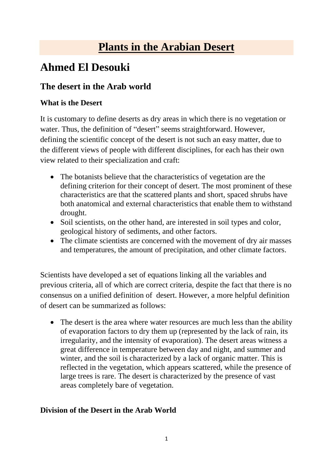# **Plants in the Arabian Desert**

## **Ahmed El Desouki**

### **The desert in the Arab world**

#### **What is the Desert**

It is customary to define deserts as dry areas in which there is no vegetation or water. Thus, the definition of "desert" seems straightforward. However, defining the scientific concept of the desert is not such an easy matter, due to the different views of people with different disciplines, for each has their own view related to their specialization and craft:

- The botanists believe that the characteristics of vegetation are the defining criterion for their concept of desert. The most prominent of these characteristics are that the scattered plants and short, spaced shrubs have both anatomical and external characteristics that enable them to withstand drought.
- Soil scientists, on the other hand, are interested in soil types and color, geological history of sediments, and other factors.
- The climate scientists are concerned with the movement of dry air masses and temperatures, the amount of precipitation, and other climate factors.

Scientists have developed a set of equations linking all the variables and previous criteria, all of which are correct criteria, despite the fact that there is no consensus on a unified definition of desert. However, a more helpful definition of desert can be summarized as follows:

• The desert is the area where water resources are much less than the ability of evaporation factors to dry them up (represented by the lack of rain, its irregularity, and the intensity of evaporation). The desert areas witness a great difference in temperature between day and night, and summer and winter, and the soil is characterized by a lack of organic matter. This is reflected in the vegetation, which appears scattered, while the presence of large trees is rare. The desert is characterized by the presence of vast areas completely bare of vegetation.

#### **Division of the Desert in the Arab World**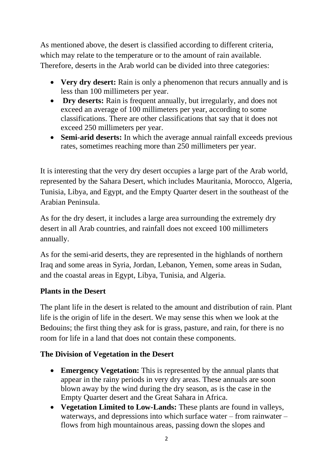As mentioned above, the desert is classified according to different criteria, which may relate to the temperature or to the amount of rain available. Therefore, deserts in the Arab world can be divided into three categories:

- **Very dry desert:** Rain is only a phenomenon that recurs annually and is less than 100 millimeters per year.
- **Dry deserts:** Rain is frequent annually, but irregularly, and does not exceed an average of 100 millimeters per year, according to some classifications. There are other classifications that say that it does not exceed 250 millimeters per year.
- **Semi-arid deserts:** In which the average annual rainfall exceeds previous rates, sometimes reaching more than 250 millimeters per year.

It is interesting that the very dry desert occupies a large part of the Arab world, represented by the Sahara Desert, which includes Mauritania, Morocco, Algeria, Tunisia, Libya, and Egypt, and the Empty Quarter desert in the southeast of the Arabian Peninsula.

As for the dry desert, it includes a large area surrounding the extremely dry desert in all Arab countries, and rainfall does not exceed 100 millimeters annually.

As for the semi-arid deserts, they are represented in the highlands of northern Iraq and some areas in Syria, Jordan, Lebanon, Yemen, some areas in Sudan, and the coastal areas in Egypt, Libya, Tunisia, and Algeria.

#### **Plants in the Desert**

The plant life in the desert is related to the amount and distribution of rain. Plant life is the origin of life in the desert. We may sense this when we look at the Bedouins; the first thing they ask for is grass, pasture, and rain, for there is no room for life in a land that does not contain these components.

#### **The Division of Vegetation in the Desert**

- **Emergency Vegetation:** This is represented by the annual plants that appear in the rainy periods in very dry areas. These annuals are soon blown away by the wind during the dry season, as is the case in the Empty Quarter desert and the Great Sahara in Africa.
- **Vegetation Limited to Low-Lands:** These plants are found in valleys, waterways, and depressions into which surface water – from rainwater – flows from high mountainous areas, passing down the slopes and